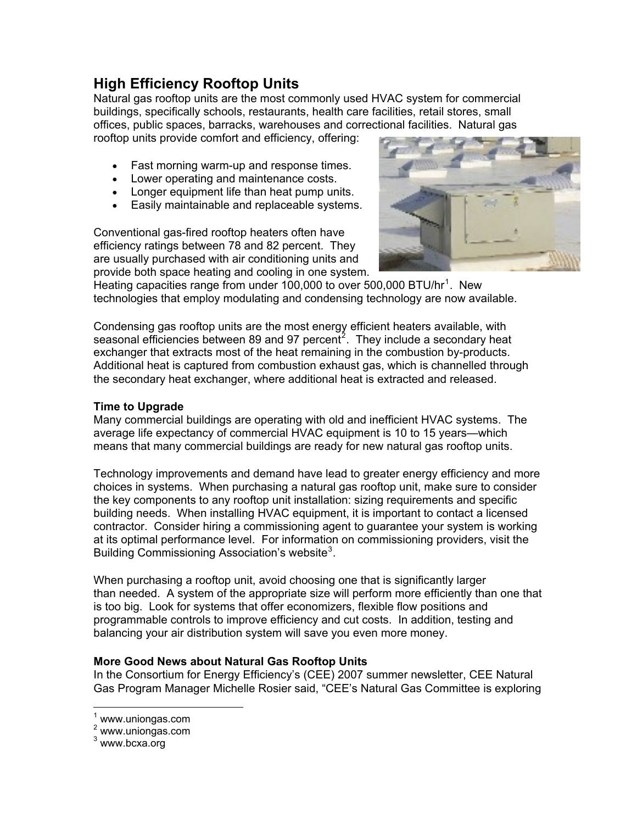# **High Efficiency Rooftop Units**

Natural gas rooftop units are the most commonly used HVAC system for commercial buildings, specifically schools, restaurants, health care facilities, retail stores, small offices, public spaces, barracks, warehouses and correctional facilities. Natural gas

rooftop units provide comfort and efficiency, offering:

- Fast morning warm-up and response times.
- Lower operating and maintenance costs.
- Longer equipment life than heat pump units.
- Easily maintainable and replaceable systems.

Conventional gas-fired rooftop heaters often have efficiency ratings between 78 and 82 percent. They are usually purchased with air conditioning units and provide both space heating and cooling in one system.



Heating capacities range from under [1](#page-0-0)00,000 to over 500,000 BTU/hr<sup>1</sup>. New technologies that employ modulating and condensing technology are now available.

Condensing gas rooftop units are the most energy efficient heaters available, with seasonal efficiencies between 89 and 97 percent<sup>[2](#page-0-1)</sup>. They include a secondary heat exchanger that extracts most of the heat remaining in the combustion by-products. Additional heat is captured from combustion exhaust gas, which is channelled through the secondary heat exchanger, where additional heat is extracted and released.

## **Time to Upgrade**

Many commercial buildings are operating with old and inefficient HVAC systems. The average life expectancy of commercial HVAC equipment is 10 to 15 years—which means that many commercial buildings are ready for new natural gas rooftop units.

Technology improvements and demand have lead to greater energy efficiency and more choices in systems. When purchasing a natural gas rooftop unit, make sure to consider the key components to any rooftop unit installation: sizing requirements and specific building needs. When installing HVAC equipment, it is important to contact a licensed contractor. Consider hiring a commissioning agent to guarantee your system is working at its optimal performance level. For information on commissioning providers, visit the Building Commissioning Association's website<sup>[3](#page-0-2)</sup>.

When purchasing a rooftop unit, avoid choosing one that is significantly larger than needed. A system of the appropriate size will perform more efficiently than one that is too big. Look for systems that offer economizers, flexible flow positions and programmable controls to improve efficiency and cut costs. In addition, testing and balancing your air distribution system will save you even more money.

#### **More Good News about Natural Gas Rooftop Units**

In the [Consortium for Energy Efficiency'](http://www.cee1.org/home.html)s (CEE) 2007 summer newsletter, CEE Natural Gas Program Manager Michelle Rosier said, "CEE's Natural Gas Committee is exploring

 $\overline{a}$ 

<span id="page-0-0"></span><sup>&</sup>lt;sup>1</sup> www.uniongas.com

<sup>2</sup> www.uniongas.com

<span id="page-0-2"></span><span id="page-0-1"></span><sup>&</sup>lt;sup>3</sup> www.bcxa.org